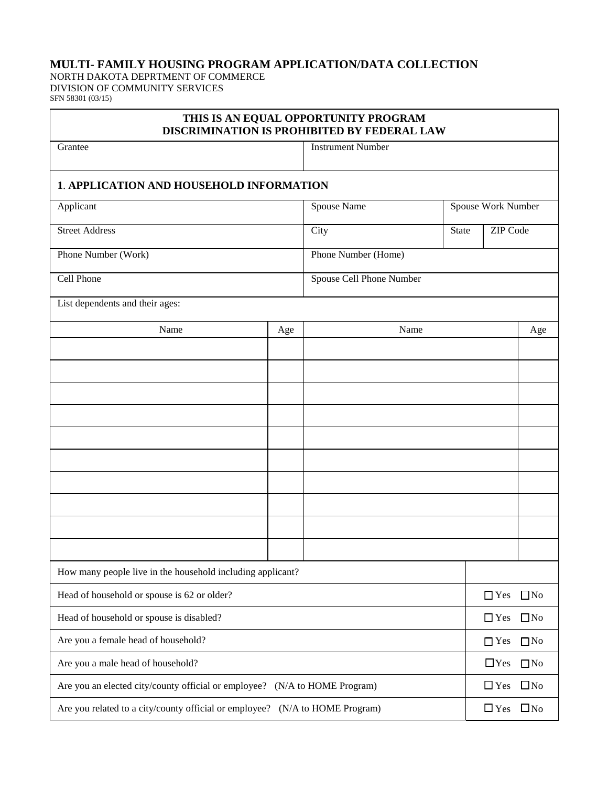## **MULTI- FAMILY HOUSING PROGRAM APPLICATION/DATA COLLECTION**

NORTH DAKOTA DEPRTMENT OF COMMERCE DIVISION OF COMMUNITY SERVICES SFN 58301 (03/15)

| THIS IS AN EQUAL OPPORTUNITY PROGRAM<br>DISCRIMINATION IS PROHIBITED BY FEDERAL LAW |                          |                          |                    |                  |              |  |  |
|-------------------------------------------------------------------------------------|--------------------------|--------------------------|--------------------|------------------|--------------|--|--|
| Grantee                                                                             | <b>Instrument Number</b> |                          |                    |                  |              |  |  |
| <b>1. APPLICATION AND HOUSEHOLD INFORMATION</b>                                     |                          |                          |                    |                  |              |  |  |
| Applicant                                                                           |                          | Spouse Name              | Spouse Work Number |                  |              |  |  |
| <b>Street Address</b>                                                               |                          | City                     | State              | ZIP Code         |              |  |  |
| Phone Number (Work)                                                                 |                          | Phone Number (Home)      |                    |                  |              |  |  |
| Cell Phone                                                                          |                          | Spouse Cell Phone Number |                    |                  |              |  |  |
| List dependents and their ages:                                                     |                          |                          |                    |                  |              |  |  |
| Name<br>Age                                                                         |                          | Name                     |                    |                  | Age          |  |  |
|                                                                                     |                          |                          |                    |                  |              |  |  |
|                                                                                     |                          |                          |                    |                  |              |  |  |
|                                                                                     |                          |                          |                    |                  |              |  |  |
|                                                                                     |                          |                          |                    |                  |              |  |  |
|                                                                                     |                          |                          |                    |                  |              |  |  |
|                                                                                     |                          |                          |                    |                  |              |  |  |
|                                                                                     |                          |                          |                    |                  |              |  |  |
|                                                                                     |                          |                          |                    |                  |              |  |  |
|                                                                                     |                          |                          |                    |                  |              |  |  |
|                                                                                     |                          |                          |                    |                  |              |  |  |
| How many people live in the household including applicant?                          |                          |                          |                    |                  |              |  |  |
| Head of household or spouse is 62 or older?                                         |                          |                          |                    |                  | $\Box$ No    |  |  |
| Head of household or spouse is disabled?                                            |                          |                          |                    |                  | $\Box$ No    |  |  |
| Are you a female head of household?                                                 |                          |                          |                    |                  | $\square$ No |  |  |
| Are you a male head of household?                                                   |                          |                          |                    | $\square$<br>Yes | $\square$ No |  |  |
| Are you an elected city/county official or employee? (N/A to HOME Program)          |                          |                          |                    | $\Box$ Yes       | $\square$ No |  |  |
| Are you related to a city/county official or employee? (N/A to HOME Program)        |                          |                          |                    | $\Box$ Yes       | $\Box$ No    |  |  |